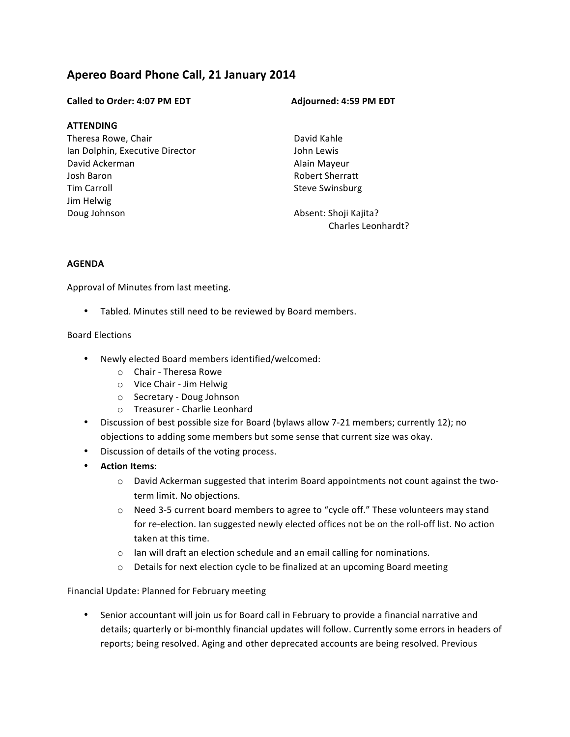# **Apereo Board Phone Call, 21 January 2014**

#### **Called to Order: 4:07 PM EDT Adjourned: 4:59 PM EDT**

#### **ATTENDING**

Theresa Rowe, Chair Ian Dolphin, Executive Director David Ackerman Josh Baron Tim Carroll Jim Helwig Doug Johnson

David Kahle John Lewis Alain Mayeur Robert Sherratt Steve Swinsburg

Absent: Shoji Kajita? Charles Leonhardt?

### **AGENDA**

Approval of Minutes from last meeting.

• Tabled. Minutes still need to be reviewed by Board members.

### Board Elections

- Newly elected Board members identified/welcomed:
	- $\circ$  Chair Theresa Rowe
	- o Vice Chair Jim Helwig
	- o Secretary Doug Johnson
	- o Treasurer Charlie Leonhard
- Discussion of best possible size for Board (bylaws allow 7-21 members; currently 12); no objections to adding some members but some sense that current size was okay.
- Discussion of details of the voting process.
- **Action Items**:
	- $\circ$  David Ackerman suggested that interim Board appointments not count against the twoterm limit. No objections.
	- $\circ$  Need 3-5 current board members to agree to "cycle off." These volunteers may stand for re-election. Ian suggested newly elected offices not be on the roll-off list. No action taken at this time.
	- $\circ$  Ian will draft an election schedule and an email calling for nominations.
	- $\circ$  Details for next election cycle to be finalized at an upcoming Board meeting

#### Financial Update: Planned for February meeting

• Senior accountant will join us for Board call in February to provide a financial narrative and details; quarterly or bi-monthly financial updates will follow. Currently some errors in headers of reports; being resolved. Aging and other deprecated accounts are being resolved. Previous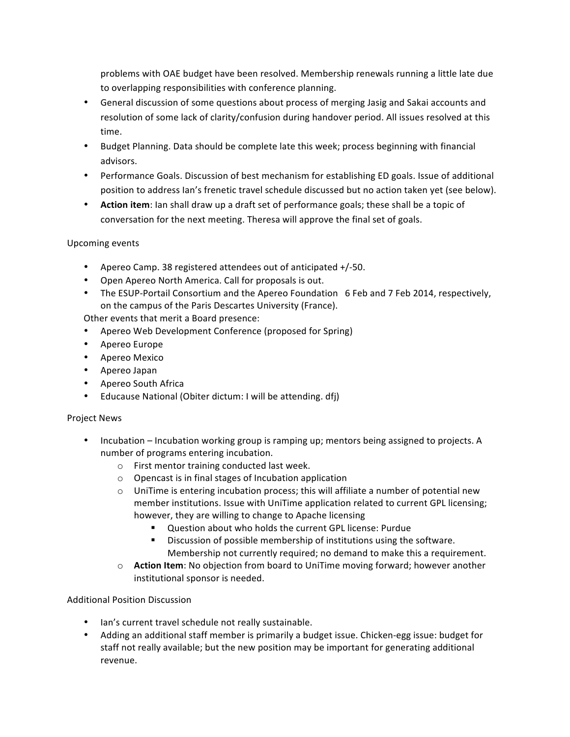problems with OAE budget have been resolved. Membership renewals running a little late due to overlapping responsibilities with conference planning.

- General discussion of some questions about process of merging Jasig and Sakai accounts and resolution of some lack of clarity/confusion during handover period. All issues resolved at this time.
- Budget Planning. Data should be complete late this week; process beginning with financial advisors.
- Performance Goals. Discussion of best mechanism for establishing ED goals. Issue of additional position to address Ian's frenetic travel schedule discussed but no action taken yet (see below).
- **Action item**: Ian shall draw up a draft set of performance goals; these shall be a topic of conversation for the next meeting. Theresa will approve the final set of goals.

# Upcoming events

- Apereo Camp. 38 registered attendees out of anticipated +/-50.
- Open Apereo North America. Call for proposals is out.
- The ESUP-Portail Consortium and the Apereo Foundation 6 Feb and 7 Feb 2014, respectively, on the campus of the Paris Descartes University (France).

Other events that merit a Board presence:

- Apereo Web Development Conference (proposed for Spring)
- Apereo Europe
- Apereo Mexico
- Apereo Japan
- Apereo South Africa
- Educause National (Obiter dictum: I will be attending. dfj)

# Project News

- Incubation Incubation working group is ramping up; mentors being assigned to projects. A number of programs entering incubation.
	- $\circ$  First mentor training conducted last week.
	- $\circ$  Opencast is in final stages of Incubation application
	- $\circ$  UniTime is entering incubation process; this will affiliate a number of potential new member institutions. Issue with UniTime application related to current GPL licensing; however, they are willing to change to Apache licensing
		- Question about who holds the current GPL license: Purdue
		- Discussion of possible membership of institutions using the software. Membership not currently required; no demand to make this a requirement.
	- **Action Item**: No objection from board to UniTime moving forward; however another institutional sponsor is needed.

# Additional Position Discussion

- Ian's current travel schedule not really sustainable.
- Adding an additional staff member is primarily a budget issue. Chicken-egg issue: budget for staff not really available; but the new position may be important for generating additional revenue.